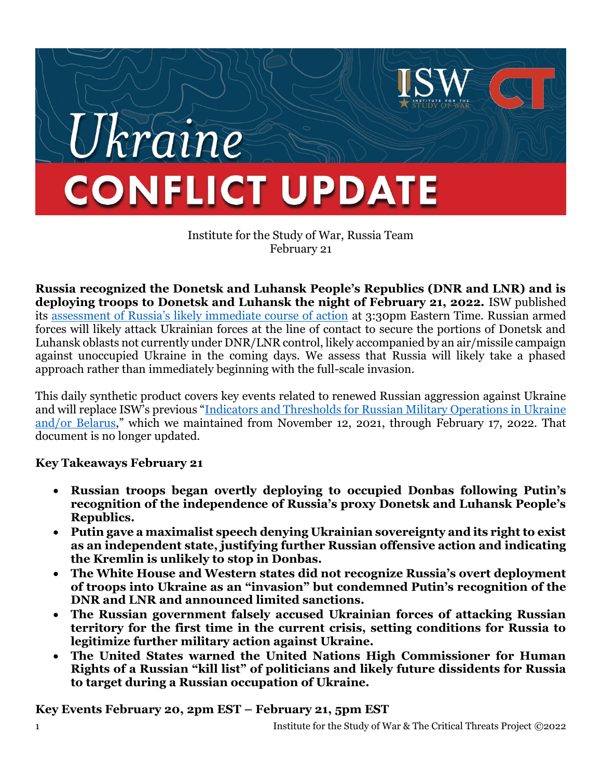

Institute for the Study of War, Russia Team February 21

**Russia recognized the Donetsk and Luhansk People's Republics (DNR and LNR) and is deploying troops to Donetsk and Luhansk the night of February 21, 2022.** ISW published its [assessment of Russia's likely immediate course of action](https://www.understandingwar.org/sites/default/files/Ukraine-Russia%20Warning%20Update%202.pdf) at 3:30pm Eastern Time. Russian armed forces will likely attack Ukrainian forces at the line of contact to secure the portions of Donetsk and Luhansk oblasts not currently under DNR/LNR control, likely accompanied by an air/missile campaign against unoccupied Ukraine in the coming days. We assess that Russia will likely take a phased approach rather than immediately beginning with the full-scale invasion.

This daily synthetic product covers key events related to renewed Russian aggression against Ukraine and will replace ISW's previous "[Indicators and Thresholds for Russian Military Operations in Ukraine](https://www.understandingwar.org/backgrounder/indicators-and-thresholds-russian-military-operations-ukraine-andor-belarus)  [and/or Belarus](https://www.understandingwar.org/backgrounder/indicators-and-thresholds-russian-military-operations-ukraine-andor-belarus)," which we maintained from November 12, 2021, through February 17, 2022. That document is no longer updated.

**Key Takeaways February 21**

- **Russian troops began overtly deploying to occupied Donbas following Putin's recognition of the independence of Russia's proxy Donetsk and Luhansk People's Republics.**
- **Putin gave a maximalist speech denying Ukrainian sovereignty and its right to exist as an independent state, justifying further Russian offensive action and indicating the Kremlin is unlikely to stop in Donbas.**
- **The White House and Western states did not recognize Russia's overt deployment of troops into Ukraine as an "invasion" but condemned Putin's recognition of the DNR and LNR and announced limited sanctions.**
- **The Russian government falsely accused Ukrainian forces of attacking Russian territory for the first time in the current crisis, setting conditions for Russia to legitimize further military action against Ukraine.**
- **The United States warned the United Nations High Commissioner for Human Rights of a Russian "kill list" of politicians and likely future dissidents for Russia to target during a Russian occupation of Ukraine.**

**Key Events February 20, 2pm EST – February 21, 5pm EST**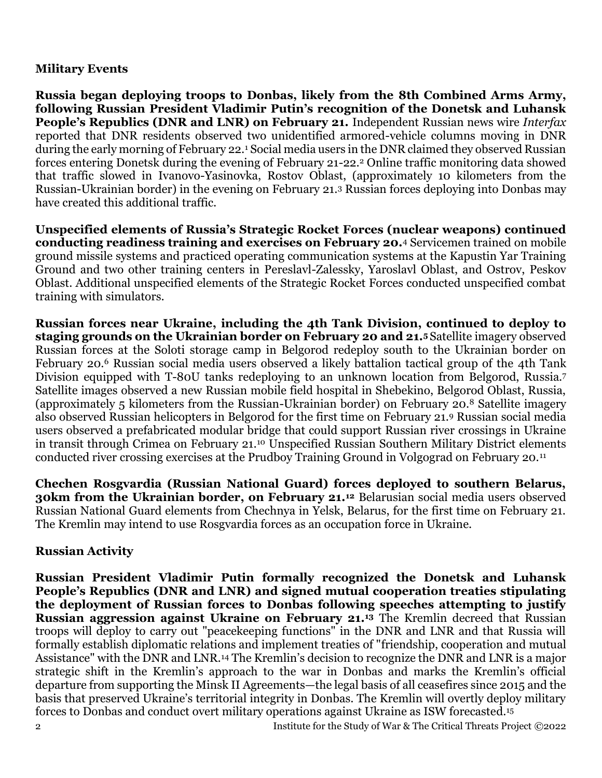#### **Military Events**

**Russia began deploying troops to Donbas, likely from the 8th Combined Arms Army, following Russian President Vladimir Putin's recognition of the Donetsk and Luhansk People's Republics (DNR and LNR) on February 21.** Independent Russian news wire *Interfax* reported that DNR residents observed two unidentified armored-vehicle columns moving in DNR during the early morning of February 22.<sup>1</sup> Social media users in the DNR claimed they observed Russian forces entering Donetsk during the evening of February 21-22.<sup>2</sup> Online traffic monitoring data showed that traffic slowed in Ivanovo-Yasinovka, Rostov Oblast, (approximately 10 kilometers from the Russian-Ukrainian border) in the evening on February 21.<sup>3</sup> Russian forces deploying into Donbas may have created this additional traffic.

**Unspecified elements of Russia's Strategic Rocket Forces (nuclear weapons) continued conducting readiness training and exercises on February 20.**<sup>4</sup> Servicemen trained on mobile ground missile systems and practiced operating communication systems at the Kapustin Yar Training Ground and two other training centers in Pereslavl-Zalessky, Yaroslavl Oblast, and Ostrov, Peskov Oblast. Additional unspecified elements of the Strategic Rocket Forces conducted unspecified combat training with simulators.

**Russian forces near Ukraine, including the 4th Tank Division, continued to deploy to staging grounds on the Ukrainian border on February 20 and 21.<sup>5</sup>** Satellite imagery observed Russian forces at the Soloti storage camp in Belgorod redeploy south to the Ukrainian border on February 20.<sup>6</sup> Russian social media users observed a likely battalion tactical group of the 4th Tank Division equipped with T-80U tanks redeploying to an unknown location from Belgorod, Russia.<sup>7</sup> Satellite images observed a new Russian mobile field hospital in Shebekino, Belgorod Oblast, Russia, (approximately 5 kilometers from the Russian-Ukrainian border) on February 20.<sup>8</sup> Satellite imagery also observed Russian helicopters in Belgorod for the first time on February 21.<sup>9</sup> Russian social media users observed a prefabricated modular bridge that could support Russian river crossings in Ukraine in transit through Crimea on February 21.<sup>10</sup> Unspecified Russian Southern Military District elements conducted river crossing exercises at the Prudboy Training Ground in Volgograd on February 20.<sup>11</sup>

**Chechen Rosgvardia (Russian National Guard) forces deployed to southern Belarus, 30km from the Ukrainian border, on February 21.<sup>12</sup>** Belarusian social media users observed Russian National Guard elements from Chechnya in Yelsk, Belarus, for the first time on February 21. The Kremlin may intend to use Rosgvardia forces as an occupation force in Ukraine.

#### **Russian Activity**

**Russian President Vladimir Putin formally recognized the Donetsk and Luhansk People's Republics (DNR and LNR) and signed mutual cooperation treaties stipulating the deployment of Russian forces to Donbas following speeches attempting to justify Russian aggression against Ukraine on February 21.<sup>13</sup>** The Kremlin decreed that Russian troops will deploy to carry out "peacekeeping functions" in the DNR and LNR and that Russia will formally establish diplomatic relations and implement treaties of "friendship, cooperation and mutual Assistance" with the DNR and LNR.<sup>14</sup> The Kremlin's decision to recognize the DNR and LNR is a major strategic shift in the Kremlin's approach to the war in Donbas and marks the Kremlin's official departure from supporting the Minsk II Agreements—the legal basis of all ceasefires since 2015 and the basis that preserved Ukraine's territorial integrity in Donbas. The Kremlin will overtly deploy military forces to Donbas and conduct overt military operations against Ukraine as ISW forecasted.15

2 Institute for the Study of War & The Critical Threats Project ©2022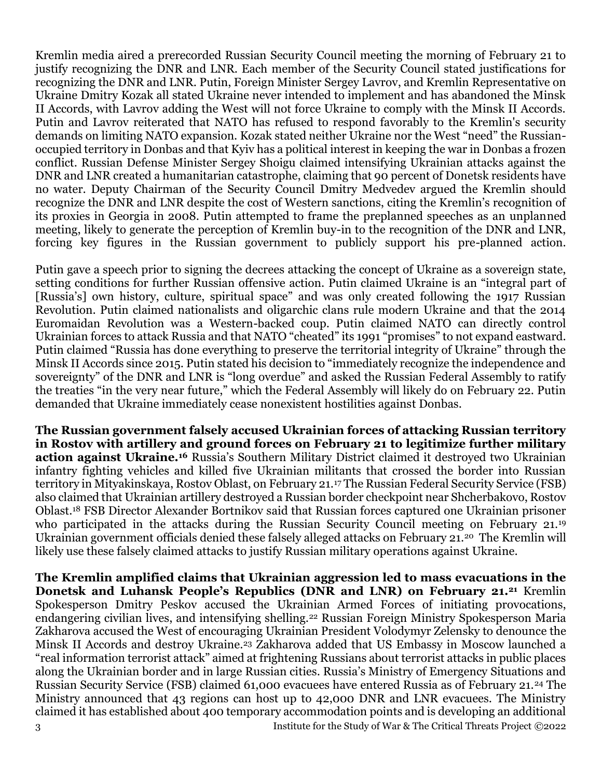Kremlin media aired a prerecorded Russian Security Council meeting the morning of February 21 to justify recognizing the DNR and LNR. Each member of the Security Council stated justifications for recognizing the DNR and LNR. Putin, Foreign Minister Sergey Lavrov, and Kremlin Representative on Ukraine Dmitry Kozak all stated Ukraine never intended to implement and has abandoned the Minsk II Accords, with Lavrov adding the West will not force Ukraine to comply with the Minsk II Accords. Putin and Lavrov reiterated that NATO has refused to respond favorably to the Kremlin's security demands on limiting NATO expansion. Kozak stated neither Ukraine nor the West "need" the Russianoccupied territory in Donbas and that Kyiv has a political interest in keeping the war in Donbas a frozen conflict. Russian Defense Minister Sergey Shoigu claimed intensifying Ukrainian attacks against the DNR and LNR created a humanitarian catastrophe, claiming that 90 percent of Donetsk residents have no water. Deputy Chairman of the Security Council Dmitry Medvedev argued the Kremlin should recognize the DNR and LNR despite the cost of Western sanctions, citing the Kremlin's recognition of its proxies in Georgia in 2008. Putin attempted to frame the preplanned speeches as an unplanned meeting, likely to generate the perception of Kremlin buy-in to the recognition of the DNR and LNR, forcing key figures in the Russian government to publicly support his pre-planned action.

Putin gave a speech prior to signing the decrees attacking the concept of Ukraine as a sovereign state, setting conditions for further Russian offensive action. Putin claimed Ukraine is an "integral part of [Russia's] own history, culture, spiritual space" and was only created following the 1917 Russian Revolution. Putin claimed nationalists and oligarchic clans rule modern Ukraine and that the 2014 Euromaidan Revolution was a Western-backed coup. Putin claimed NATO can directly control Ukrainian forces to attack Russia and that NATO "cheated" its 1991 "promises" to not expand eastward. Putin claimed "Russia has done everything to preserve the territorial integrity of Ukraine" through the Minsk II Accords since 2015. Putin stated his decision to "immediately recognize the independence and sovereignty" of the DNR and LNR is "long overdue" and asked the Russian Federal Assembly to ratify the treaties "in the very near future," which the Federal Assembly will likely do on February 22. Putin demanded that Ukraine immediately cease nonexistent hostilities against Donbas.

**The Russian government falsely accused Ukrainian forces of attacking Russian territory in Rostov with artillery and ground forces on February 21 to legitimize further military action against Ukraine.<sup>16</sup>** Russia's Southern Military District claimed it destroyed two Ukrainian infantry fighting vehicles and killed five Ukrainian militants that crossed the border into Russian territory in Mityakinskaya, Rostov Oblast, on February 21.<sup>17</sup> The Russian Federal Security Service (FSB) also claimed that Ukrainian artillery destroyed a Russian border checkpoint near Shcherbakovo, Rostov Oblast.<sup>18</sup> FSB Director Alexander Bortnikov said that Russian forces captured one Ukrainian prisoner who participated in the attacks during the Russian Security Council meeting on February 21.<sup>19</sup> Ukrainian government officials denied these falsely alleged attacks on February 21.20 The Kremlin will likely use these falsely claimed attacks to justify Russian military operations against Ukraine.

3 Institute for the Study of War & The Critical Threats Project ©2022 **The Kremlin amplified claims that Ukrainian aggression led to mass evacuations in the Donetsk and Luhansk People's Republics (DNR and LNR) on February 21.<sup>21</sup>** Kremlin Spokesperson Dmitry Peskov accused the Ukrainian Armed Forces of initiating provocations, endangering civilian lives, and intensifying shelling.<sup>22</sup> Russian Foreign Ministry Spokesperson Maria Zakharova accused the West of encouraging Ukrainian President Volodymyr Zelensky to denounce the Minsk II Accords and destroy Ukraine.<sup>23</sup> Zakharova added that US Embassy in Moscow launched a "real information terrorist attack" aimed at frightening Russians about terrorist attacks in public places along the Ukrainian border and in large Russian cities. Russia's Ministry of Emergency Situations and Russian Security Service (FSB) claimed 61,000 evacuees have entered Russia as of February 21.<sup>24</sup> The Ministry announced that 43 regions can host up to 42,000 DNR and LNR evacuees. The Ministry claimed it has established about 400 temporary accommodation points and is developing an additional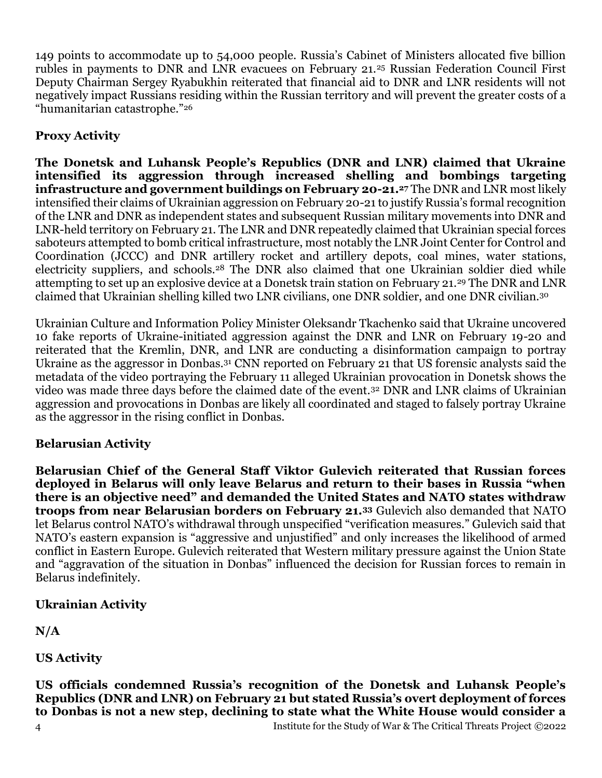149 points to accommodate up to 54,000 people. Russia's Cabinet of Ministers allocated five billion rubles in payments to DNR and LNR evacuees on February 21.<sup>25</sup> Russian Federation Council First Deputy Chairman Sergey Ryabukhin reiterated that financial aid to DNR and LNR residents will not negatively impact Russians residing within the Russian territory and will prevent the greater costs of a "humanitarian catastrophe."<sup>26</sup>

# **Proxy Activity**

**The Donetsk and Luhansk People's Republics (DNR and LNR) claimed that Ukraine intensified its aggression through increased shelling and bombings targeting infrastructure and government buildings on February 20-21.<sup>27</sup>** The DNR and LNR most likely intensified their claims of Ukrainian aggression on February 20-21 to justify Russia's formal recognition of the LNR and DNR as independent states and subsequent Russian military movements into DNR and LNR-held territory on February 21. The LNR and DNR repeatedly claimed that Ukrainian special forces saboteurs attempted to bomb critical infrastructure, most notably the LNR Joint Center for Control and Coordination (JCCC) and DNR artillery rocket and artillery depots, coal mines, water stations, electricity suppliers, and schools.<sup>28</sup> The DNR also claimed that one Ukrainian soldier died while attempting to set up an explosive device at a Donetsk train station on February 21.<sup>29</sup> The DNR and LNR claimed that Ukrainian shelling killed two LNR civilians, one DNR soldier, and one DNR civilian.<sup>30</sup>

Ukrainian Culture and Information Policy Minister Oleksandr Tkachenko said that Ukraine uncovered 10 fake reports of Ukraine-initiated aggression against the DNR and LNR on February 19-20 and reiterated that the Kremlin, DNR, and LNR are conducting a disinformation campaign to portray Ukraine as the aggressor in Donbas.<sup>31</sup> CNN reported on February 21 that US forensic analysts said the metadata of the video portraying the February 11 alleged Ukrainian provocation in Donetsk shows the video was made three days before the claimed date of the event.<sup>32</sup> DNR and LNR claims of Ukrainian aggression and provocations in Donbas are likely all coordinated and staged to falsely portray Ukraine as the aggressor in the rising conflict in Donbas.

# **Belarusian Activity**

**Belarusian Chief of the General Staff Viktor Gulevich reiterated that Russian forces deployed in Belarus will only leave Belarus and return to their bases in Russia "when there is an objective need" and demanded the United States and NATO states withdraw troops from near Belarusian borders on February 21.<sup>33</sup>** Gulevich also demanded that NATO let Belarus control NATO's withdrawal through unspecified "verification measures." Gulevich said that NATO's eastern expansion is "aggressive and unjustified" and only increases the likelihood of armed conflict in Eastern Europe. Gulevich reiterated that Western military pressure against the Union State and "aggravation of the situation in Donbas" influenced the decision for Russian forces to remain in Belarus indefinitely.

# **Ukrainian Activity**

**N/A**

**US Activity**

4 Institute for the Study of War & The Critical Threats Project ©2022 **US officials condemned Russia's recognition of the Donetsk and Luhansk People's Republics (DNR and LNR) on February 21 but stated Russia's overt deployment of forces to Donbas is not a new step, declining to state what the White House would consider a**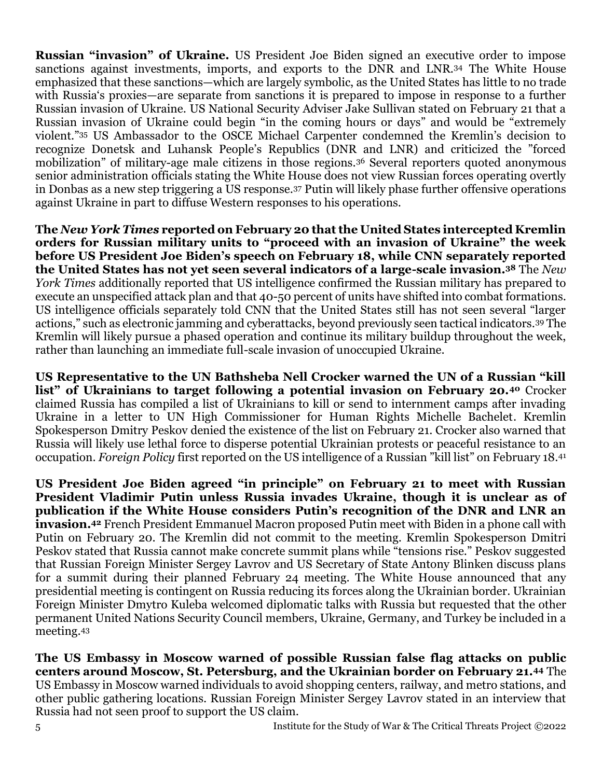**Russian "invasion" of Ukraine.** US President Joe Biden signed an executive order to impose sanctions against investments, imports, and exports to the DNR and LNR.<sup>34</sup> The White House emphasized that these sanctions—which are largely symbolic, as the United States has little to no trade with Russia's proxies—are separate from sanctions it is prepared to impose in response to a further Russian invasion of Ukraine. US National Security Adviser Jake Sullivan stated on February 21 that a Russian invasion of Ukraine could begin "in the coming hours or days" and would be "extremely violent."<sup>35</sup> US Ambassador to the OSCE Michael Carpenter condemned the Kremlin's decision to recognize Donetsk and Luhansk People's Republics (DNR and LNR) and criticized the "forced mobilization" of military-age male citizens in those regions.<sup>36</sup> Several reporters quoted anonymous senior administration officials stating the White House does not view Russian forces operating overtly in Donbas as a new step triggering a US response.<sup>37</sup> Putin will likely phase further offensive operations against Ukraine in part to diffuse Western responses to his operations.

**The** *New York Times* **reported on February 20 that the United States intercepted Kremlin orders for Russian military units to "proceed with an invasion of Ukraine" the week before US President Joe Biden's speech on February 18, while CNN separately reported the United States has not yet seen several indicators of a large-scale invasion.<sup>38</sup>** The *New York Times* additionally reported that US intelligence confirmed the Russian military has prepared to execute an unspecified attack plan and that 40-50 percent of units have shifted into combat formations. US intelligence officials separately told CNN that the United States still has not seen several "larger actions," such as electronic jamming and cyberattacks, beyond previously seen tactical indicators.<sup>39</sup> The Kremlin will likely pursue a phased operation and continue its military buildup throughout the week, rather than launching an immediate full-scale invasion of unoccupied Ukraine.

**US Representative to the UN Bathsheba Nell Crocker warned the UN of a Russian "kill list" of Ukrainians to target following a potential invasion on February 20.<sup>40</sup>** Crocker claimed Russia has compiled a list of Ukrainians to kill or send to internment camps after invading Ukraine in a letter to UN High Commissioner for Human Rights Michelle Bachelet. Kremlin Spokesperson Dmitry Peskov denied the existence of the list on February 21. Crocker also warned that Russia will likely use lethal force to disperse potential Ukrainian protests or peaceful resistance to an occupation. *Foreign Policy* first reported on the US intelligence of a Russian "kill list" on February 18.<sup>41</sup>

**US President Joe Biden agreed "in principle" on February 21 to meet with Russian President Vladimir Putin unless Russia invades Ukraine, though it is unclear as of publication if the White House considers Putin's recognition of the DNR and LNR an invasion.<sup>42</sup>** French President Emmanuel Macron proposed Putin meet with Biden in a phone call with Putin on February 20. The Kremlin did not commit to the meeting. Kremlin Spokesperson Dmitri Peskov stated that Russia cannot make concrete summit plans while "tensions rise." Peskov suggested that Russian Foreign Minister Sergey Lavrov and US Secretary of State Antony Blinken discuss plans for a summit during their planned February 24 meeting. The White House announced that any presidential meeting is contingent on Russia reducing its forces along the Ukrainian border. Ukrainian Foreign Minister Dmytro Kuleba welcomed diplomatic talks with Russia but requested that the other permanent United Nations Security Council members, Ukraine, Germany, and Turkey be included in a meeting.<sup>43</sup>

**The US Embassy in Moscow warned of possible Russian false flag attacks on public centers around Moscow, St. Petersburg, and the Ukrainian border on February 21.<sup>44</sup>** The US Embassy in Moscow warned individuals to avoid shopping centers, railway, and metro stations, and other public gathering locations. Russian Foreign Minister Sergey Lavrov stated in an interview that Russia had not seen proof to support the US claim.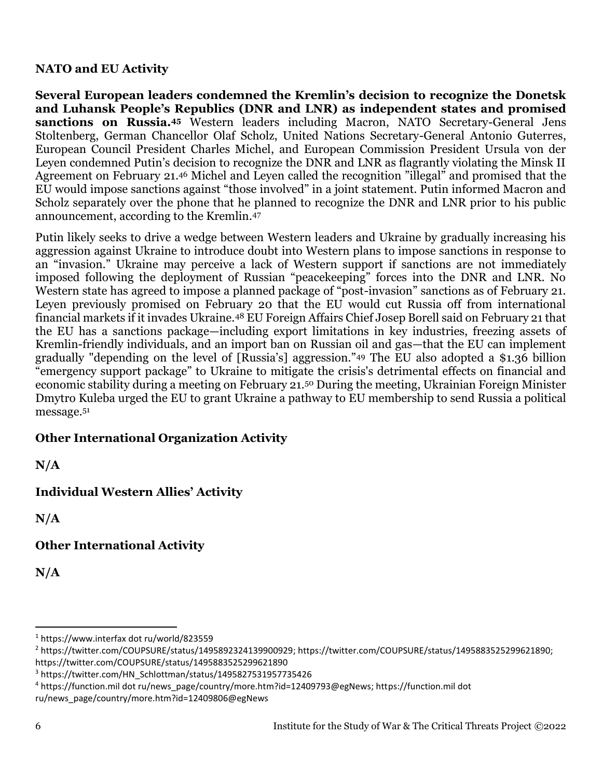#### **NATO and EU Activity**

**Several European leaders condemned the Kremlin's decision to recognize the Donetsk and Luhansk People's Republics (DNR and LNR) as independent states and promised sanctions on Russia.<sup>45</sup>** Western leaders including Macron, NATO Secretary-General Jens Stoltenberg, German Chancellor Olaf Scholz, United Nations Secretary-General Antonio Guterres, European Council President Charles Michel, and European Commission President Ursula von der Leyen condemned Putin's decision to recognize the DNR and LNR as flagrantly violating the Minsk II Agreement on February 21.<sup>46</sup> Michel and Leyen called the recognition "illegal" and promised that the EU would impose sanctions against "those involved" in a joint statement. Putin informed Macron and Scholz separately over the phone that he planned to recognize the DNR and LNR prior to his public announcement, according to the Kremlin.<sup>47</sup>

Putin likely seeks to drive a wedge between Western leaders and Ukraine by gradually increasing his aggression against Ukraine to introduce doubt into Western plans to impose sanctions in response to an "invasion." Ukraine may perceive a lack of Western support if sanctions are not immediately imposed following the deployment of Russian "peacekeeping" forces into the DNR and LNR. No Western state has agreed to impose a planned package of "post-invasion" sanctions as of February 21. Leyen previously promised on February 20 that the EU would cut Russia off from international financial markets if it invades Ukraine.<sup>48</sup> EU Foreign Affairs Chief Josep Borell said on February 21 that the EU has a sanctions package—including export limitations in key industries, freezing assets of Kremlin-friendly individuals, and an import ban on Russian oil and gas—that the EU can implement gradually "depending on the level of [Russia's] aggression."<sup>49</sup> The EU also adopted a \$1.36 billion "emergency support package" to Ukraine to mitigate the crisis's detrimental effects on financial and economic stability during a meeting on February 21.<sup>50</sup> During the meeting, Ukrainian Foreign Minister Dmytro Kuleba urged the EU to grant Ukraine a pathway to EU membership to send Russia a political message.<sup>51</sup>

# **Other International Organization Activity**

**N/A**

# **Individual Western Allies' Activity**

**N/A**

**Other International Activity**

**N/A**

<sup>1</sup> https://www.interfax dot ru/world/823559

<sup>2</sup> https://twitter.com/COUPSURE/status/1495892324139900929; https://twitter.com/COUPSURE/status/1495883525299621890; https://twitter.com/COUPSURE/status/1495883525299621890

<sup>&</sup>lt;sup>3</sup> https://twitter.com/HN\_Schlottman/status/1495827531957735426

<sup>4</sup> https://function.mil dot ru/news\_page/country/more.htm?id=12409793@egNews; https://function.mil dot

ru/news\_page/country/more.htm?id=12409806@egNews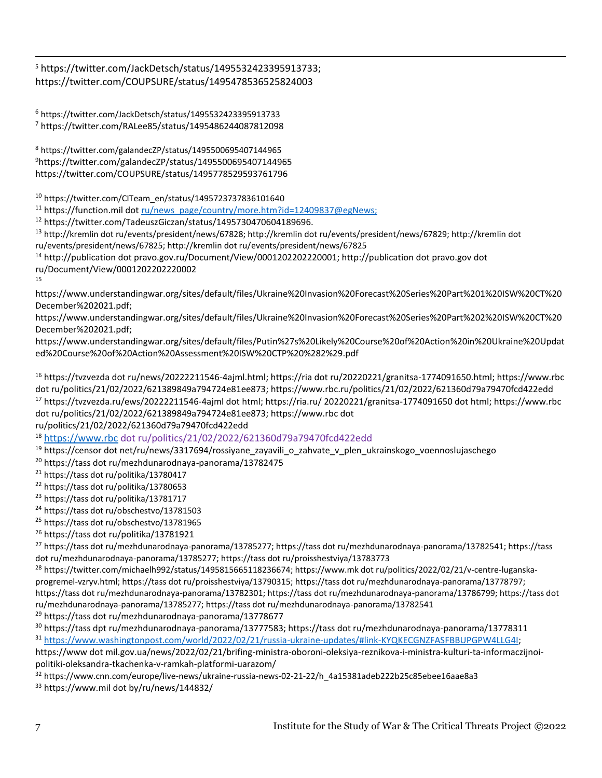<sup>5</sup> https://twitter.com/JackDetsch/status/1495532423395913733; https://twitter.com/COUPSURE/status/1495478536525824003

<sup>6</sup> https://twitter.com/JackDetsch/status/1495532423395913733 <sup>7</sup> https://twitter.com/RALee85/status/1495486244087812098

<sup>8</sup> https://twitter.com/galandecZP/status/1495500695407144965 <sup>9</sup>https://twitter.com/galandecZP/status/1495500695407144965 https://twitter.com/COUPSURE/status/1495778529593761796

 $10$  https://twitter.com/CITeam\_en/status/1495723737836101640

<sup>11</sup> https://function.mil dot [ru/news\\_page/country/more.htm?id=12409837@egNews;](mailto:ru/news_page/country/more.htm?id=12409837@egNews)

<sup>12</sup> https://twitter.com/TadeuszGiczan/status/1495730470604189696.

<sup>13</sup> http://kremlin dot ru/events/president/news/67828; http://kremlin dot ru/events/president/news/67829; http://kremlin dot ru/events/president/news/67825; http://kremlin dot ru/events/president/news/67825

<sup>14</sup> http://publication dot pravo.gov.ru/Document/View/0001202202220001; http://publication dot pravo.gov dot ru/Document/View/0001202202220002

15

https://www.understandingwar.org/sites/default/files/Ukraine%20Invasion%20Forecast%20Series%20Part%201%20ISW%20CT%20 December%202021.pdf;

https://www.understandingwar.org/sites/default/files/Ukraine%20Invasion%20Forecast%20Series%20Part%202%20ISW%20CT%20 December%202021.pdf;

https://www.understandingwar.org/sites/default/files/Putin%27s%20Likely%20Course%20of%20Action%20in%20Ukraine%20Updat ed%20Course%20of%20Action%20Assessment%20ISW%20CTP%20%282%29.pdf

<sup>16</sup> https://tvzvezda dot ru/news/20222211546-4ajml.html; https://ria dot ru/20220221/granitsa-1774091650.html; https://www.rbc dot ru/politics/21/02/2022/621389849a794724e81ee873; https://www.rbc.ru/politics/21/02/2022/621360d79a79470fcd422edd <sup>17</sup> https://tvzvezda.ru/ews/20222211546-4ajml dot html; https://ria.ru/ 20220221/granitsa-1774091650 dot html; https://www.rbc dot ru/politics/21/02/2022/621389849a794724e81ee873; https://www.rbc dot

ru/politics/21/02/2022/621360d79a79470fcd422edd

<sup>18</sup> [https://www.rbc](https://www.rbc/) dot ru/politics/21/02/2022/621360d79a79470fcd422edd

<sup>19</sup> https://censor dot net/ru/news/3317694/rossiyane\_zayavili\_o\_zahvate\_v\_plen\_ukrainskogo\_voennoslujaschego

<sup>20</sup> https://tass dot ru/mezhdunarodnaya-panorama/13782475

<sup>21</sup> https://tass dot ru/politika/13780417

<sup>22</sup> https://tass dot ru/politika/13780653

<sup>23</sup> https://tass dot ru/politika/13781717

<sup>24</sup> https://tass dot ru/obschestvo/13781503

<sup>25</sup> https://tass dot ru/obschestvo/13781965

<sup>26</sup> https://tass dot ru/politika/13781921

<sup>27</sup> https://tass dot ru/mezhdunarodnaya-panorama/13785277; https://tass dot ru/mezhdunarodnaya-panorama/13782541; https://tass dot ru/mezhdunarodnaya-panorama/13785277; https://tass dot ru/proisshestviya/13783773

<sup>28</sup> https://twitter.com/michaelh992/status/1495815665118236674; https://www.mk dot ru/politics/2022/02/21/v-centre-luganskaprogremel-vzryv.html; https://tass dot ru/proisshestviya/13790315; https://tass dot ru/mezhdunarodnaya-panorama/13778797; https://tass dot ru/mezhdunarodnaya-panorama/13782301; https://tass dot ru/mezhdunarodnaya-panorama/13786799; https://tass dot ru/mezhdunarodnaya-panorama/13785277; https://tass dot ru/mezhdunarodnaya-panorama/13782541

<sup>29</sup> https://tass dot ru/mezhdunarodnaya-panorama/13778677

 $30$  https://tass dpt ru/mezhdunarodnaya-panorama/13777583; https://tass dot ru/mezhdunarodnaya-panorama/13778311 <sup>31</sup> [https://www.washingtonpost.com/world/2022/02/21/russia-ukraine-updates/#link-KYQKECGNZFASFBBUPGPW4LLG4I;](https://www.washingtonpost.com/world/2022/02/21/russia-ukraine-updates/#link-KYQKECGNZFASFBBUPGPW4LLG4I)

https://www dot mil.gov.ua/news/2022/02/21/brifing-ministra-oboroni-oleksiya-reznikova-i-ministra-kulturi-ta-informaczijnoipolitiki-oleksandra-tkachenka-v-ramkah-platformi-uarazom/

 $32$  https://www.cnn.com/europe/live-news/ukraine-russia-news-02-21-22/h\_4a15381adeb222b25c85ebee16aae8a3

<sup>33</sup> https://www.mil dot by/ru/news/144832/